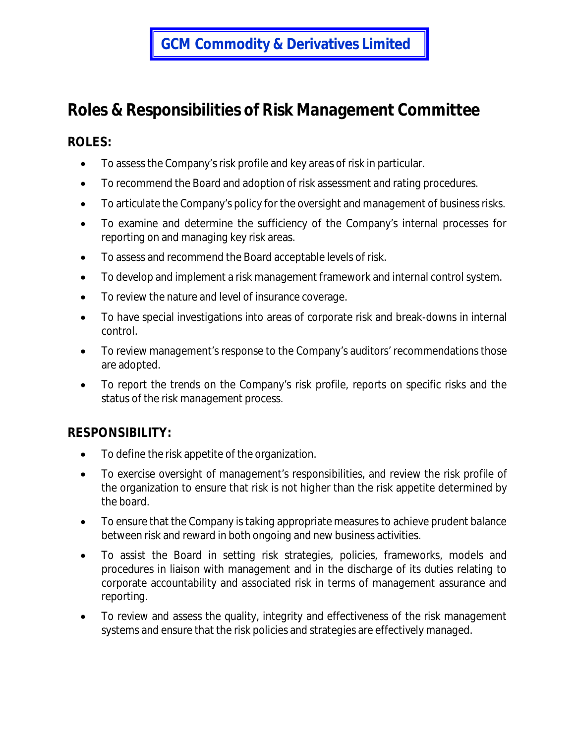## **GCM Commodity & Derivatives Limited**

## **Roles & Responsibilities of Risk Management Committee**

## **ROLES:**

- To assess the Company's risk profile and key areas of risk in particular.
- To recommend the Board and adoption of risk assessment and rating procedures.
- To articulate the Company's policy for the oversight and management of business risks.
- To examine and determine the sufficiency of the Company's internal processes for reporting on and managing key risk areas.
- To assess and recommend the Board acceptable levels of risk.
- To develop and implement a risk management framework and internal control system.
- To review the nature and level of insurance coverage.
- To have special investigations into areas of corporate risk and break-downs in internal control.
- To review management's response to the Company's auditors' recommendations those are adopted.
- To report the trends on the Company's risk profile, reports on specific risks and the status of the risk management process.

## **RESPONSIBILITY:**

- To define the risk appetite of the organization.
- To exercise oversight of management's responsibilities, and review the risk profile of the organization to ensure that risk is not higher than the risk appetite determined by the board.
- To ensure that the Company is taking appropriate measures to achieve prudent balance between risk and reward in both ongoing and new business activities.
- To assist the Board in setting risk strategies, policies, frameworks, models and procedures in liaison with management and in the discharge of its duties relating to corporate accountability and associated risk in terms of management assurance and reporting.
- To review and assess the quality, integrity and effectiveness of the risk management systems and ensure that the risk policies and strategies are effectively managed.